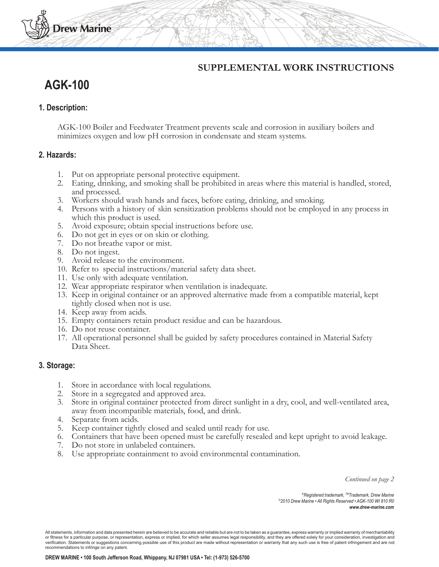# **SUPPLEMENTAL WORK INSTRUCTIONS**

# **AGK-100**

**Drew Marine** 

### **1. Description:**

AGK-100 Boiler and Feedwater Treatment prevents scale and corrosion in auxiliary boilers and minimizes oxygen and low pH corrosion in condensate and steam systems.

#### **2. Hazards:**

- 1. Put on appropriate personal protective equipment.
- 2. Eating, drinking, and smoking shall be prohibited in areas where this material is handled, stored, and processed.
- 3. Workers should wash hands and faces, before eating, drinking, and smoking.
- 4. Persons with a history of skin sensitization problems should not be employed in any process in which this product is used.
- 5. Avoid exposure; obtain special instructions before use.
- 6. Do not get in eyes or on skin or clothing.
- 7. Do not breathe vapor or mist.
- 8. Do not ingest.
- 9. Avoid release to the environment.
- 10. Refer to special instructions/material safety data sheet.
- 11. Use only with adequate ventilation.
- 12. Wear appropriate respirator when ventilation is inadequate.
- 13. Keep in original container or an approved alternative made from a compatible material, kept tightly closed when not is use.
- 14. Keep away from acids.
- 15. Empty containers retain product residue and can be hazardous.
- 16. Do not reuse container.
- 17. All operational personnel shall be guided by safety procedures contained in Material Safety Data Sheet.

#### **3. Storage:**

- 1. Store in accordance with local regulations.
- 2. Store in a segregated and approved area.
- 3. Store in original container protected from direct sunlight in a dry, cool, and well-ventilated area, away from incompatible materials, food, and drink.
- 4. Separate from acids.
- 5. Keep container tightly closed and sealed until ready for use.
- 6. Containers that have been opened must be carefully resealed and kept upright to avoid leakage.
- 7. Do not store in unlabeled containers.
- 8. Use appropriate containment to avoid environmental contamination.

*Continued on page 2*

*®Registered trademark, TMTrademark, Drew Marine ©2010 Drew Marine • All Rights Reserved • AGK-100 WI 810 R0 www.drew-marine.com*

All statements, information and data presented herein are believed to be accurate and reliable but are not to be taken as a guarantee, express warranty or implied warranty of merchantability or fitness for a particular purpose, or representation, express or implied, for which seller assumes legal responsibility, and they are offered solely for your consideration, investigation and<br>verification. Statements or s recommendations to infringe on any patent.